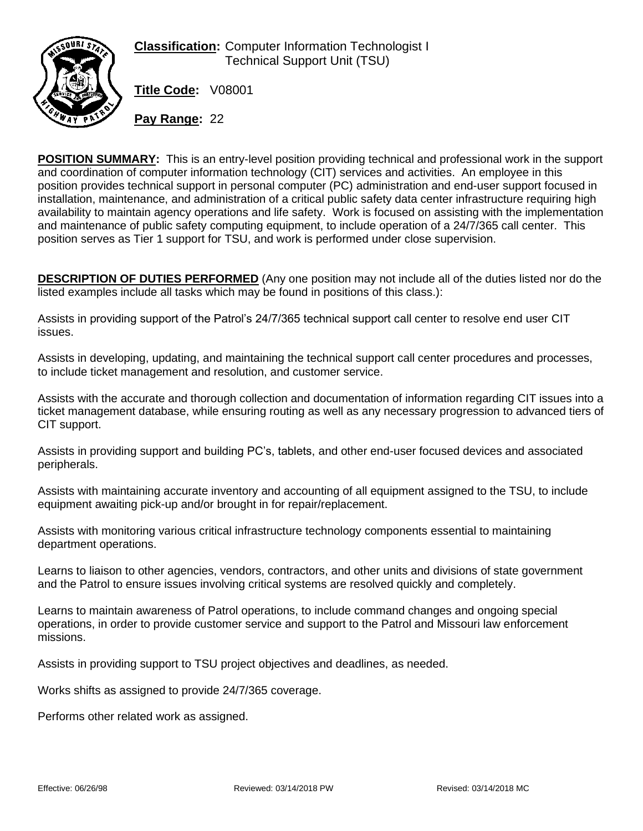

**Classification:** Computer Information Technologist I Technical Support Unit (TSU)

**Title Code:** V08001

**Pay Range:** 22

**POSITION SUMMARY:** This is an entry-level position providing technical and professional work in the support and coordination of computer information technology (CIT) services and activities. An employee in this position provides technical support in personal computer (PC) administration and end-user support focused in installation, maintenance, and administration of a critical public safety data center infrastructure requiring high availability to maintain agency operations and life safety. Work is focused on assisting with the implementation and maintenance of public safety computing equipment, to include operation of a 24/7/365 call center. This position serves as Tier 1 support for TSU, and work is performed under close supervision.

**DESCRIPTION OF DUTIES PERFORMED** (Any one position may not include all of the duties listed nor do the listed examples include all tasks which may be found in positions of this class.):

Assists in providing support of the Patrol's 24/7/365 technical support call center to resolve end user CIT issues.

Assists in developing, updating, and maintaining the technical support call center procedures and processes, to include ticket management and resolution, and customer service.

Assists with the accurate and thorough collection and documentation of information regarding CIT issues into a ticket management database, while ensuring routing as well as any necessary progression to advanced tiers of CIT support.

Assists in providing support and building PC's, tablets, and other end-user focused devices and associated peripherals.

Assists with maintaining accurate inventory and accounting of all equipment assigned to the TSU, to include equipment awaiting pick-up and/or brought in for repair/replacement.

Assists with monitoring various critical infrastructure technology components essential to maintaining department operations.

Learns to liaison to other agencies, vendors, contractors, and other units and divisions of state government and the Patrol to ensure issues involving critical systems are resolved quickly and completely.

Learns to maintain awareness of Patrol operations, to include command changes and ongoing special operations, in order to provide customer service and support to the Patrol and Missouri law enforcement missions.

Assists in providing support to TSU project objectives and deadlines, as needed.

Works shifts as assigned to provide 24/7/365 coverage.

Performs other related work as assigned.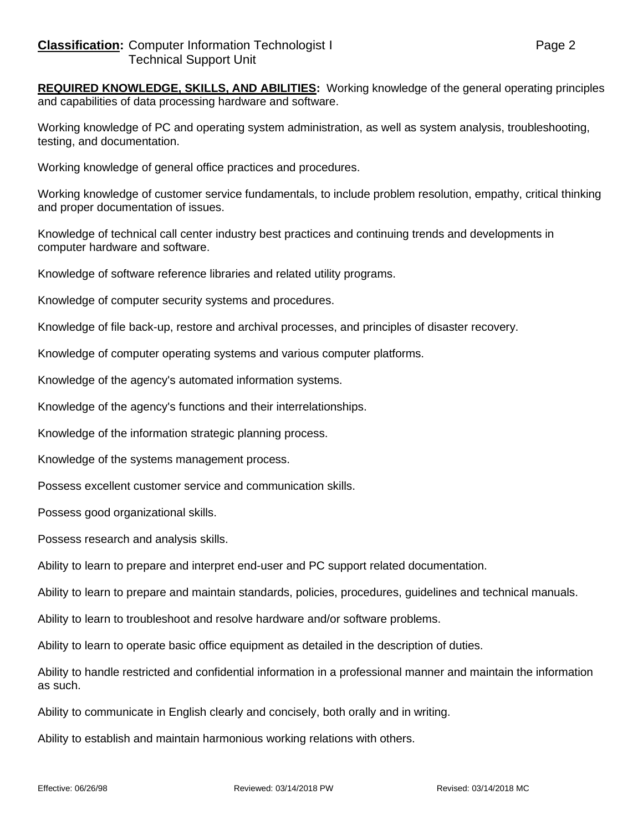**REQUIRED KNOWLEDGE, SKILLS, AND ABILITIES:** Working knowledge of the general operating principles and capabilities of data processing hardware and software.

Working knowledge of PC and operating system administration, as well as system analysis, troubleshooting, testing, and documentation.

Working knowledge of general office practices and procedures.

Working knowledge of customer service fundamentals, to include problem resolution, empathy, critical thinking and proper documentation of issues.

Knowledge of technical call center industry best practices and continuing trends and developments in computer hardware and software.

Knowledge of software reference libraries and related utility programs.

Knowledge of computer security systems and procedures.

Knowledge of file back-up, restore and archival processes, and principles of disaster recovery.

Knowledge of computer operating systems and various computer platforms.

Knowledge of the agency's automated information systems.

Knowledge of the agency's functions and their interrelationships.

Knowledge of the information strategic planning process.

Knowledge of the systems management process.

Possess excellent customer service and communication skills.

Possess good organizational skills.

Possess research and analysis skills.

Ability to learn to prepare and interpret end-user and PC support related documentation.

Ability to learn to prepare and maintain standards, policies, procedures, guidelines and technical manuals.

Ability to learn to troubleshoot and resolve hardware and/or software problems.

Ability to learn to operate basic office equipment as detailed in the description of duties.

Ability to handle restricted and confidential information in a professional manner and maintain the information as such.

Ability to communicate in English clearly and concisely, both orally and in writing.

Ability to establish and maintain harmonious working relations with others.